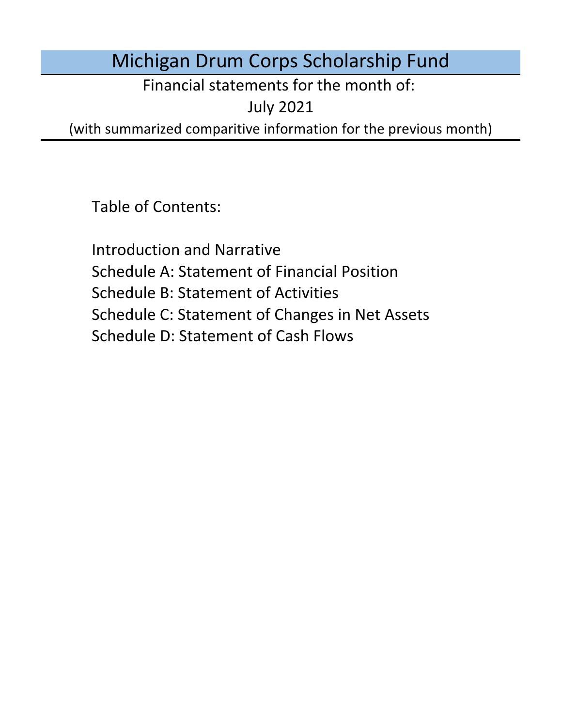# Michigan Drum Corps Scholarship Fund

Financial statements for the month of:

July 2021

(with summarized comparitive information for the previous month)

Table of Contents:

Schedule D: Statement of Cash Flows Introduction and Narrative Schedule A: Statement of Financial Position Schedule B: Statement of Activities Schedule C: Statement of Changes in Net Assets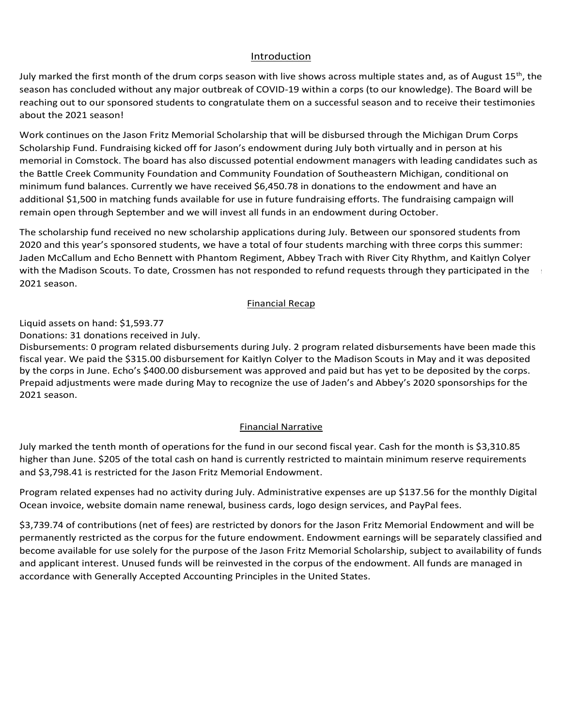### Introduction Introduction Introduction

<u>Introduction</u><br>July marked the first month of the drum corps season with live shows across multiple states and, as of August 15<sup>th</sup>, the <u>Introduction</u><br>July marked the first month of the drum corps season with live shows across multiple states and, as of August 15<sup>th</sup>, the<br>season has concluded without any major outbreak of COVID-19 within a corps (to our kn reaching out to our sponsored students to congratulate them on a successful season and to receive their testimonies currently being considered with updates planned for the next Board of Directors meeting. The next Board of Directors meeting. The next Board of Directors meeting. The next Board of Directors meeting. The next Board of Dire about the 2021 season! season out of concerns for member safety. While the financial impact is still being quantified, the board of the board of the board of the board of the board of the board of the board of the board of the board of the board Board and the studients may not be able to participate due to participate due to student teaching requirements may not be able to participate due to student teaching requirements may not be able to student the student of t On December 3rd, 2020, Drum Corps International announced plans for events at Lucas Oil Stadium in Indianapolis, IN about the Loll Season.' March 2021 Scason: President Biden announced that the United States is on pace to produce enough vacanteers to supply all the United States is on pace to supply all the United States is on pace to supply all the United Sta

Work continues on the Jason Fritz Memorial Scholarship that will be disbursed through the Michigan Drum Corps<br>Scholarship Fund Fundational island off for teach's and summed during lith hath sixtually and in accree at his memorial in Comstock. The board h the Battle Creek Community Foundation and Community Foundation of Southeastern Michigan, conditional on<br>minimum fund balances. Currently we have received \$6.450.78 in donations to the endowment and have an minimum fund balances. Currently we have received \$6,450.78 in donations to the endowment and have an des on the Jason Fritz Memorial Scholarshi<br>Fund. Fundraising kicked off for Jason's enc<br>Comstock. The board has also discussed po<br>eek Community Foundation and Communi work continues on the Jason Fritz wemonal scholarship that will be disbursed through the witchigan Drum Corps<br>Scholarship Fund. Fundraising kicked off for Jason's endowment during July both virtually and in person at his<br>m additional \$1,500 in matching funds available for use in future fundraising efforts. The fundraising campaign will<br>remain open through September and we will invest all funds in an endowment during October. remain open through September and we will invest all funds in an endowment during October. Scholarship Fund. Fundraising Kicked on 101 Jason's endowment during July both Virtually and in person at his<br>memorial in Comstock. The board has also discussed potential endowment managers with leading candidates such as<br> hout any major outbreak of COVID-19 within a corps (to our knowledge). The Board will be<br>cored students to congratulate them on a successful season and to receive their testimonies<br>son Fritz Memorial Scholarship that will rum corps season with live shows across multiple states and, as of August 15<sup>m</sup>, 15m<br>ajor outbreak of COVID-19 whitin a corps (to our knowledge). The Board will be comparable to congratulate them on a successful season and Work continues on the Jason Fritz Memorial Scholarship that will be disbursed through the Michigan Drum Corps Battle Creek Community Foundation and Community Foundation of Southeastern Michigan, conditional on<br>imum fund balances. Currently we have received \$6,450.78 in donations to the endowment and have an<br>itional \$1,500 in match virtual open infough beptent der and well as invest as fands in an endowment daring october. the battle creek community Foundation and community Foundation or Southeastern Micrigan, conditional on<br>minimum fund balances. Currently we have received \$6,450.78 in donations to the endowment and have an odditional prijoto in matering rando avandbre for doe in ratare randnaising enorts. The randnaising campaign wi<br>romain onon through Contembor and we will invest all funds in an andoument during October. platforms for virtual instruction and are will invest an rands in an endowment daring occurer. remain open through September and we will invest all funds in an endowment during October. fully vacacinated people that include the ability to gather or conduct and  $\alpha$  masked the ability to gather or conduct  $\alpha$ International in Comstock. The board has also discussed potential endowment managers with reading candidates such<br>the Pattle Coach Community Econdition and Community Econdition of Continue Michigan, conditional on capacity limits outdoors, indoor restrictions will be raised to 50% capacity, and social gatherings will be regulated by venue. Continues on the Jason Fritz ivienional scholarship that will be ulsoursed through the ivitenigan brunr Corp<br>Colorado to Franklin be a protective measures for the protective measures for the protective measures for ocholarship Punu. Punuraishig Kicked on Tor Jason's endowment during July both Virtually and in person at his<br>Receiverably Corpstant, The home has also discussed rectantial and concern management has disc associated as m memorial in comstock. The board has also discuss theater broadcast on July 15th but in Lieu of the Season of the season of the previous years they will be an i<br>Weak another case they have finite Massented Calculated they will be altabased they will be a Michigan Davis. Work continues on the Jason Fritz Memorial Scholarship that will be disbursed through the Michigan Drum Corps<br>Sale also have a late of the state of the state of the state of the state of the state of the state of the state scholarship nono. Fundraising Kicked on Tor Jason's endowment during July both Virtually and in person at his<br>In capacitatio Constant, The has of has also discussed notatiel and summatures are not the localing and ideas wi memorial in Comstock. The board has also discussed potential endowment managers with leading candidates such as<br>the Pattle Cuash Community Foundation and Community Foundation of Coutherstow Michigan, conditional and that the first month of the drum corps eason with live shows across multiple states and, as of August 15<sup>th</sup>, the the drum corps and the tracting out to compartuint them on a successful season and to receive their testimon

The scholarship fund received no new scholarship applications during July. Between our sponsored students from<br>2020 and this year's sponsored students, we have a total of four students marching with three corps this summer 2020 and this year's sponsored stadents, we have a total of four stadents marehing with three corps this summer<br>Jaden McCallum and Echo Bennett with Phantom Regiment, Abbey Trach with River City Rhythm, and Kaitlyn Colyer with the Madison Scouts. To date, Crossmen has not responded to refund requests through they participated in the Program related expenses did not change during January. Administrative expenses are up \$6.00 for the Financial Narrations during the scholars of the scholarshistical The Scholarship The scholarship fund received no new scholarship applications during July. Between our sponsored students from<br>The scholarship fund received  $2021$  season.  $\frac{1}{205}$  of the total cash on the total cash on  $\frac{1}{205}$  cash on  $\frac{1}{205}$  cash on  $\frac{1}{205}$  cash on  $\frac{1}{205}$  cash on  $\frac{1}{205}$  cash on  $\frac{1}{205}$  cash on  $\frac{1}{205}$  cash on  $\frac{1}{205}$  cas The scholarship fund received no new scholarship applications during July. Between our sponsored students from Donations: 0 donations received during May. Pfizer's announcement and the WHO resources. opted to forego the 2021 season and focus on a return to full operations in 2022. 2021 season. ed corps in a bubble to limit the spread of the spread of the virus. The virus of the virus of the virus of the virus of the virus of the virus of the virus of the virus of the virus of the virus of the virus of the virus **Financial Recap** Monthly Financial Recap  $p_{\rm 2021}$  season. The board will continue to monitor the state of the marching arts and will provide and will provide and will provide a marchine  $p_{\rm 202}$ of the marching arts arts are marching updates to all interested parties as more information becomes as more information becomes available. program and no ensembles have an in-person activities to date. Of our five sponsored programs, the sponsored programs, the sponsored programs, the sponsored programs, the sponsored programs, the sponsored programs, the spo rolled yo, isolite in done<br>use in future fundrais<br>st all funds in an endo<br>papplications during J<br>e a total of four studer<br>Regiment, Abbey Tra  $2021$  season. Madison Scouts, and Phantom Regiment have all announced they will be attending the events in events in the events in the events in the events in the events in the events in the events in the events in the ev die scholarship runu received no new scholarship applications during Jury. Between our sponsored students, and  $2021$  season. The University of Michigan who will be matched with the Madison Scouts. The board chair has board chair has board chair has board chair has board chair has board chair has board chair has board chair has boa creation of an endowment for perpetual scholarships). More information will be provided as we receive feedback fire scribial ship furior. from the 2021 season. And has confirmed that Abbey Trach is participated that Abbey Trach is participated that Abbey Trach is participated with River City Rhythm and Jaden is participated with River City Rhythm and Jaden i  $T_{\rm tot}$  and the endowment with the endowment with the endowment with the endowment with the endowment with the endowment with the endowment with the endowment with the endowment with the endowment with the endowment with The scholarship fund received no new scholarship applications during July. Between our sponsored students from<br>2020 and this weak's assessmed students we have a tatel of four students membigs with these same this assessme  $f(2021)$  season.

### monthly Digital Ocean involves charged to the business checking account. Program expected to the business are expected to the business checking account. Program expected to the business are expected to the business are exp expenses are up the monthly Digital Ocean involvements charged to the monthly Digital Ocean involvements check<br>In the business checking account of the business checking account of the business checking account. In the busi Disbursements: 0 program related disbursements during May. Monthly Financial Recap updates to all interested parties as more information is available. Crossmen, Madison Scouts, and Phantom Regiment have all announced they will be attending the events in Indianapolis. The board continues to monitor the state of the marchinese state of the marchinese updates to all interested updates to all interested updates to all interested updates to all interested updates to all intere Indianapolis. The board continues to monitor the state of the marching arts and will provide updates to all interested  $b$  sponsored students from the 2020 season and has confirmed that Abbey Trach is  $\mathcal{L}$  $\frac{m}{2}$  mandal with River Callum with  $R$  $\mathcal{L}_{\text{max}}$  with  $\mathcal{L}_{\text{max}}$  received a  $\mathcal{L}_{\text{max}}$ <u>Financial Recap</u> summer: Jaden McCallum and Echo Bennett with Phantom Regiment, Abbey Trach with River City Rhythm, and Kaitlyn Colored With the Madison Scott with the Madison Scott still not receipt to the Madison Scott of reduction receipt to the Crossmen of the Madison Scott of the Crossmen of the Crossmen of the Crossmen of the Crossmen of the

Liquid assets on hand:  $$1.593.77$ Einancial Recap<br>Liquid assets on hand: \$1,593.77 Liquid assets on hand: \$1,593.77<br>-  $\sim$  1.1  $\sim$  2.1  $\sim$  2.1  $\sim$  2.1  $\sim$  2.1  $\sim$  2.1  $\sim$  2.1  $\sim$  2.1  $\sim$  2.1  $\sim$  2.1  $\sim$  2.1  $\sim$  2.1  $\sim$  2.1  $\sim$  2.1  $\sim$  2.1  $\sim$  2.1  $\sim$  2.1  $\sim$  2.1  $\sim$  2.1  $\sim$  2.1  $\sim$  2 following the annual meeting of voting drum corps directors in January 2021. The board will continue to monitor the board will continue to monitor the board will continue to monitor the board will continue to monitor the Cavaliers, Colts, Madison Scouts, and Phantom Regiment in their respective home regions. All of our sponsored

Liquid assets on nand. 51,595.77<br>Donations: 31 donations received in July.

Disbursements: 0 program related disbursements during July. 2 program related disbursements have been made thi<br>fiscal year. We paid the \$315.00 disbursement for Kaitlyn Colyer to the Madison Scouts in May and it was deposi by the corps in June. Echo's \$400.00 disbursement was approved and paid but has yet to be deposited by the corps.<br>Prepaid adjustments were made dwing May to researche the wee of lader's and Abbay's 2020 example his familie Donations. SI donations received in July.<br>Disbursements: 0 program related disbursements during July. 2 program related disbursements have been made this<br>fiscal vear. We paid the \$315.00 disbursement for Kaitlyn Colver to Prepaid adjustments were made during May to recognize the use of Jaden's and Abbey's 2020 sponsorships for the<br>2021 season Unrestricted Funds in accordance with General lyses in the United States. The United States in the United States. The United States in the United States. The United States in the United States. The United States. The Unite Donations: 31 donations received in July.<br>Disbursements: 0 program related disbursements during July. 2 prog  $\sim$  1021 season. preceived in July.<br>
m related disbursements during July. 2 progress 315.00 disbursement for Kaitlyn Colyer to tho's \$400.00 disbursement was approved and<br>
re made during May to recognize the use of J September – August though the bylaws stated that the organization organization organization is declared for the organization of  $\sim$ Donations. Se donations received in sury.<br>Disbursements: 0 program related disbursements during July. 2 program related disbursements have been made this Disbursements: 0 program related disbursements during October. 0 program related disbursements made this fiscal year. \$1,590 in prepaid tuition has been rolled forward into the 2021 season due to the 2021 season. Disbursements: 0 program related disbursements during April. 0 program related disbursements made this fiscal year. by the corps in June. Preparad adjustments were made during May for Jaden's and Abbey's sponsorships to recognize to recognize to recognize to recognize to recognize to recognize the construction of the construction of the by the corps in June. Echo's \$400.00 disbursement was approved and paid but has yet to be deposited by the corps.<br>Prepaid adjustments were made during May to recognize the use of Jaden's and Abbey's 2020 sponsorships for t Prepaid adjustments were made during May to recognize the use of Jaden's and Abbey's 2020 sponsorships for the 2021 season.

### the 2021 season. Administrative expenses are up \$6.000 for the monthly Digital Ocean invoice charged to the mon<br>The monthly Digital Ocean invoice charged to the monthly Digital Ocean invoice charged to the monthly Digital the business checking account the cancellation of the 2020 season, program experience are expenses are expenses are expected and the 2020 season, program experience are expected as  $\alpha$ **Example 2018 Example 2018 Contract 2019 Contract 2019 Contract 2019 Contract 2019 Contract 2019 Contract 2019 Contract 2019 Contract 2019 Contract 2019 Contract 2019 Contract 2019 Contract 2019**  $t_{\text{minomial}}$   $\alpha$ 2021 season due to the 2020 season cancellation, the 2020 season cancellation of the 2020 season cancellation, the 2020 season cancellation, the 2020 season cancellation, the 2020 season cancellation of the 2020 season can  $t_{\text{noncl}}$   $\text{N}_{\text{uncl}}$

July marked the tenth month of operations for the fund in our second fiscal year. Cash for the month is \$3,310.85 higher than June. \$205 of the total cash on hand is currently restricted to maintain minimum reserve requirements No funds are currently restricted by outside donors. All restrictions made by the Board are included under and \$3,798.41 is restricted for the Jason Fritz Memorial Endowment. November marked the second month of operations for the fund in our second fiscal year. Cash for the month is Program related expenses did not change during November. Administrative expenses are up \$24.45 for the monthly February mathematic month of operations for the fund in our second fiscal year. Cash for the month is  $6.00$ and \$3,798.41 is restricted for the Jason Fritz Memorial Endowment.

Program related expenses had no activity during July. Administrative expenses are up \$137.56 for the monthly Digital Ocean invoice, website domain name renewal, business cards, logo design services, and PayPal fees. No funds are currently restricted by outside donors. All restrictions made by the Board are included under Program related expenses had no activity during July. Administrative expenses are up \$137.56 for the monthly Digital

\$3,739.74 of contributions (net of fees) are restricted by donors for the Jason Fritz Memorial Endowment and will be<br>وي المناطق المسلمان المسلمين المسلمين المسلمين المسلمين المسلمين المسلمين المسلمين المسلمين المسلمين المس permanently restricted as the corpus for the future endowment. Endowment earnings will be separately classified and<br>Interval purilable for use and hefacthe courses of the Jacon Fritz Margarial Scholarship, subject to suril become available for use solely for the purpose of the Jason Fritz Memorial Scholarship, subject to availability of funds and applicant interest. Unused funds will be reinvested in the corpus of the endowment. All funds are managed in Unrestricted Funds in accordance with Generally Accepted Accounting Principles in the United States. accordance with Generally Accepted Accounting Principles in the United States. \$3,739.74 of contributions (net of fees) are restricted by donors for the Jason Fritz Memorial Endowment and will be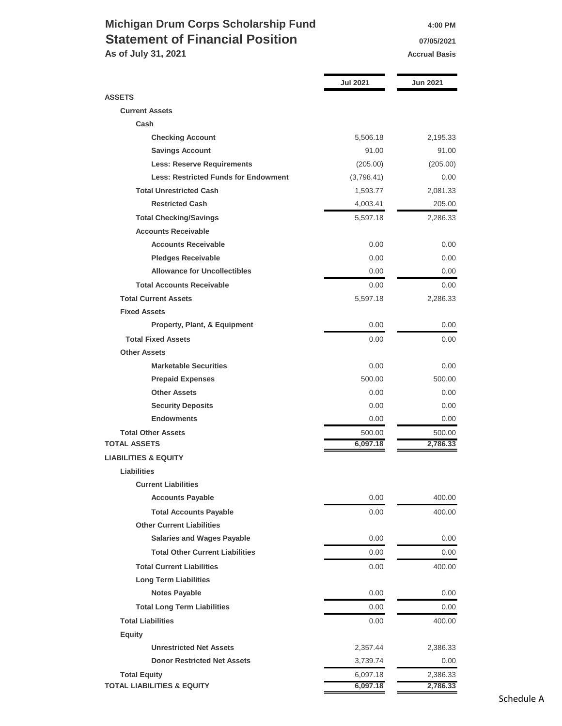### **Michigan Drum Corps Scholarship Fund 4:00 PM Statement of Financial Position 19705/2021**

**As of July 31, 2021 Accrual Basis Accrual Basis** 

|                                             | <b>Jul 2021</b> | <b>Jun 2021</b> |
|---------------------------------------------|-----------------|-----------------|
| <b>ASSETS</b>                               |                 |                 |
| <b>Current Assets</b>                       |                 |                 |
| Cash                                        |                 |                 |
| <b>Checking Account</b>                     | 5,506.18        | 2,195.33        |
| <b>Savings Account</b>                      | 91.00           | 91.00           |
| <b>Less: Reserve Requirements</b>           | (205.00)        | (205.00)        |
| <b>Less: Restricted Funds for Endowment</b> | (3,798.41)      | 0.00            |
| <b>Total Unrestricted Cash</b>              | 1,593.77        | 2,081.33        |
| <b>Restricted Cash</b>                      | 4,003.41        | 205.00          |
| <b>Total Checking/Savings</b>               | 5,597.18        | 2,286.33        |
| <b>Accounts Receivable</b>                  |                 |                 |
| <b>Accounts Receivable</b>                  | 0.00            | 0.00            |
| <b>Pledges Receivable</b>                   | 0.00            | 0.00            |
| <b>Allowance for Uncollectibles</b>         | 0.00            | 0.00            |
| <b>Total Accounts Receivable</b>            | 0.00            | 0.00            |
| <b>Total Current Assets</b>                 | 5,597.18        | 2,286.33        |
| <b>Fixed Assets</b>                         |                 |                 |
| Property, Plant, & Equipment                | 0.00            | 0.00            |
| <b>Total Fixed Assets</b>                   | 0.00            | 0.00            |
| <b>Other Assets</b>                         |                 |                 |
| <b>Marketable Securities</b>                | 0.00            | 0.00            |
| <b>Prepaid Expenses</b>                     | 500.00          | 500.00          |
| <b>Other Assets</b>                         | 0.00            | 0.00            |
| <b>Security Deposits</b>                    | 0.00            | 0.00            |
| <b>Endowments</b>                           | 0.00            | 0.00            |
| <b>Total Other Assets</b>                   | 500.00          | 500.00          |
| <b>TOTAL ASSETS</b>                         | 6,097.18        | 2,786.33        |
| <b>LIABILITIES &amp; EQUITY</b>             |                 |                 |
| Liabilities                                 |                 |                 |
| <b>Current Liabilities</b>                  |                 |                 |
| <b>Accounts Payable</b>                     | 0.00            | 400.00          |
| <b>Total Accounts Payable</b>               | 0.00            | 400.00          |
| <b>Other Current Liabilities</b>            |                 |                 |
| <b>Salaries and Wages Payable</b>           | 0.00            | 0.00            |
| <b>Total Other Current Liabilities</b>      | 0.00            | 0.00            |
| <b>Total Current Liabilities</b>            | 0.00            | 400.00          |
| <b>Long Term Liabilities</b>                |                 |                 |
| <b>Notes Payable</b>                        | 0.00            | 0.00            |
| <b>Total Long Term Liabilities</b>          | 0.00            | 0.00            |
| <b>Total Liabilities</b>                    | 0.00            | 400.00          |
| <b>Equity</b>                               |                 |                 |
| <b>Unrestricted Net Assets</b>              | 2,357.44        | 2,386.33        |
| <b>Donor Restricted Net Assets</b>          | 3,739.74        | 0.00            |
| <b>Total Equity</b>                         | 6,097.18        | 2,386.33        |
| <b>TOTAL LIABILITIES &amp; EQUITY</b>       | 6,097.18        | 2,786.33        |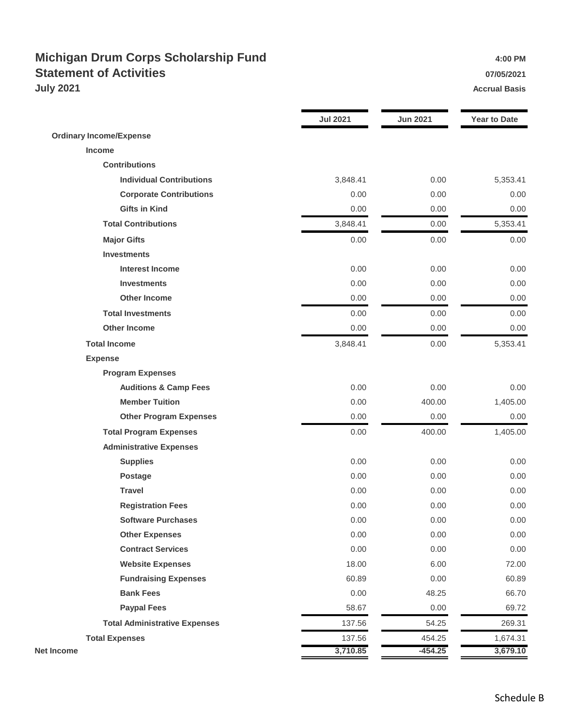### **Michigan Drum Corps Scholarship Fund 1.00 PM** 4:00 PM **Statement of Activities 07/05/2021 July 2021 Accrual Basis**

|                                      | <b>Jul 2021</b> | <b>Jun 2021</b> | <b>Year to Date</b> |
|--------------------------------------|-----------------|-----------------|---------------------|
| <b>Ordinary Income/Expense</b>       |                 |                 |                     |
| Income                               |                 |                 |                     |
| <b>Contributions</b>                 |                 |                 |                     |
| <b>Individual Contributions</b>      | 3,848.41        | 0.00            | 5,353.41            |
| <b>Corporate Contributions</b>       | 0.00            | 0.00            | 0.00                |
| <b>Gifts in Kind</b>                 | 0.00            | 0.00            | 0.00                |
| <b>Total Contributions</b>           | 3,848.41        | 0.00            | 5,353.41            |
| <b>Major Gifts</b>                   | 0.00            | 0.00            | 0.00                |
| <b>Investments</b>                   |                 |                 |                     |
| <b>Interest Income</b>               | 0.00            | 0.00            | 0.00                |
| <b>Investments</b>                   | 0.00            | 0.00            | 0.00                |
| <b>Other Income</b>                  | 0.00            | 0.00            | 0.00                |
| <b>Total Investments</b>             | 0.00            | 0.00            | 0.00                |
| <b>Other Income</b>                  | 0.00            | 0.00            | 0.00                |
| <b>Total Income</b>                  | 3,848.41        | 0.00            | 5,353.41            |
| <b>Expense</b>                       |                 |                 |                     |
| <b>Program Expenses</b>              |                 |                 |                     |
| <b>Auditions &amp; Camp Fees</b>     | 0.00            | 0.00            | 0.00                |
| <b>Member Tuition</b>                | 0.00            | 400.00          | 1,405.00            |
| <b>Other Program Expenses</b>        | 0.00            | 0.00            | 0.00                |
| <b>Total Program Expenses</b>        | 0.00            | 400.00          | 1,405.00            |
| <b>Administrative Expenses</b>       |                 |                 |                     |
| <b>Supplies</b>                      | 0.00            | 0.00            | 0.00                |
| <b>Postage</b>                       | 0.00            | 0.00            | 0.00                |
| <b>Travel</b>                        | 0.00            | 0.00            | 0.00                |
| <b>Registration Fees</b>             | 0.00            | 0.00            | 0.00                |
| <b>Software Purchases</b>            | 0.00            | 0.00            | 0.00                |
| <b>Other Expenses</b>                | 0.00            | 0.00            | 0.00                |
| <b>Contract Services</b>             | 0.00            | 0.00            | 0.00                |
| <b>Website Expenses</b>              | 18.00           | 6.00            | 72.00               |
| <b>Fundraising Expenses</b>          | 60.89           | 0.00            | 60.89               |
| <b>Bank Fees</b>                     | 0.00            | 48.25           | 66.70               |
| <b>Paypal Fees</b>                   | 58.67           | 0.00            | 69.72               |
| <b>Total Administrative Expenses</b> | 137.56          | 54.25           | 269.31              |
| <b>Total Expenses</b>                | 137.56          | 454.25          | 1,674.31            |
| <b>Net Income</b>                    | 3,710.85        | $-454.25$       | 3,679.10            |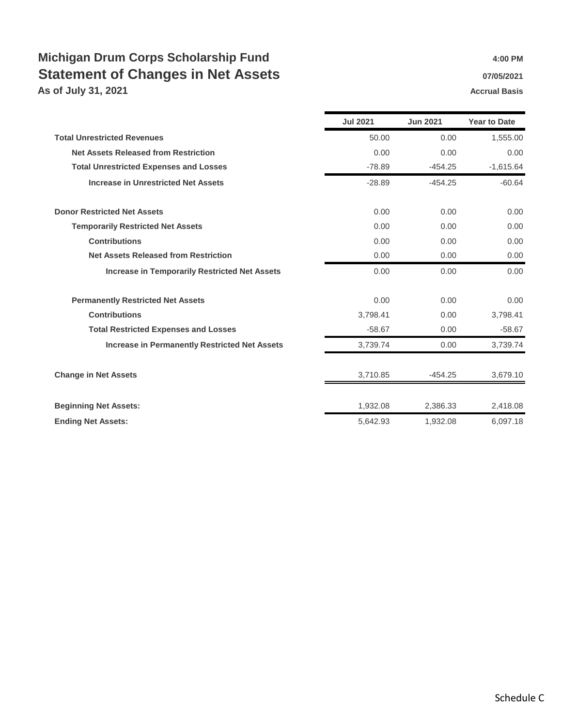## **Michigan Drum Corps Scholarship Fund 1.00 PM** 4:00 PM **Statement of Changes in Net Assets 1988 1997/05/2021**

**As of July 31, 2021 Accrual Basis** 

|                                                      | <b>Jul 2021</b> | <b>Jun 2021</b> | <b>Year to Date</b> |
|------------------------------------------------------|-----------------|-----------------|---------------------|
| <b>Total Unrestricted Revenues</b>                   | 50.00           | 0.00            | 1,555.00            |
| <b>Net Assets Released from Restriction</b>          | 0.00            | 0.00            | 0.00                |
| <b>Total Unrestricted Expenses and Losses</b>        | $-78.89$        | $-454.25$       | $-1,615.64$         |
| <b>Increase in Unrestricted Net Assets</b>           | $-28.89$        | $-454.25$       | $-60.64$            |
| <b>Donor Restricted Net Assets</b>                   | 0.00            | 0.00            | 0.00                |
| <b>Temporarily Restricted Net Assets</b>             | 0.00            | 0.00            | 0.00                |
| <b>Contributions</b>                                 | 0.00            | 0.00            | 0.00                |
| <b>Net Assets Released from Restriction</b>          | 0.00            | 0.00            | 0.00                |
| <b>Increase in Temporarily Restricted Net Assets</b> | 0.00            | 0.00            | 0.00                |
| <b>Permanently Restricted Net Assets</b>             | 0.00            | 0.00            | 0.00                |
| <b>Contributions</b>                                 | 3,798.41        | 0.00            | 3,798.41            |
| <b>Total Restricted Expenses and Losses</b>          | $-58.67$        | 0.00            | $-58.67$            |
| <b>Increase in Permanently Restricted Net Assets</b> | 3,739.74        | 0.00            | 3,739.74            |
| <b>Change in Net Assets</b>                          | 3,710.85        | $-454.25$       | 3,679.10            |
| <b>Beginning Net Assets:</b>                         | 1,932.08        | 2,386.33        | 2,418.08            |
| <b>Ending Net Assets:</b>                            | 5,642.93        | 1,932.08        | 6,097.18            |